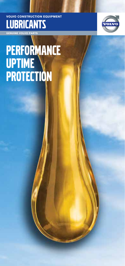#### **Volvo construction equipment LUBRICANTS**

**Genuine Volvo Parts**



### **PERFORMANCE** UPTIME PROTECTION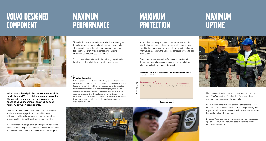# volvo designed **COMPONENT**

## maximum **PERFORMANCE**

## maximum **PROTECTION**

### maximum uptime



Volvo invests heavily in the development of all its products – and Volvo Lubricants are no exception. They are designed and tailored to match the needs of Volvo machines - ensuring perfect harmony between components.

Choosing the best combination of lubricants to suit your machine ensures top performance and increased efficiency – while reducing wear and saving fuel, giving greater machine durability and machine productivity.

In the development stage, great effort is put on maximising shear stability and optimising service intervals, making sure uptime is at its best – both in the short term and long run.

The Volvo lubricants range includes oils that are designed to optimise performance and minimise fuel consumption. The specially-formulated oils keep machine components in top condition – even in the toughest environments – ensuring machines run better for longer.

To maximise oil drain intervals, the only way to go is Volvo Lubricants – the only fully-approved product range.

**Proving the point**

Volvo Lubricants are tested under the toughest conditions. From tropical heat to sub-arctic climate and at various altitudes. They are tested to work 24/7 – just like our machines. Volvo Construction Equipment spends more than 15 000 hours per year purely on development and test programs for Lubricants. Field trials are an essential component in lubricant development and many tens of thousands of test hours builds a statistical foundation which makes it possible to continuously improve the quality and for example extend drain intervals.



Component protection and performance is maintained throughout the entire service interval and Volvo Lubricants allow your Volvo to operate as designed.

**Shear stability of Volvo Automatic Transmission Fluid AT102,**  Viscosity at 100˚C





Machine downtime is a burden on any construction business. That's why Volvo Construction Equipment does all it can to ensure the uptime of your machines.

Volvo recommends that only its range of lubricants should be used for its machines because they are specifically designed to reduce wear, heighten performance and increase the productivity of the machines.

By using Volvo Lubricants you can benefit from maximised operational hours and reduced cost of machine maintenance and downtime.